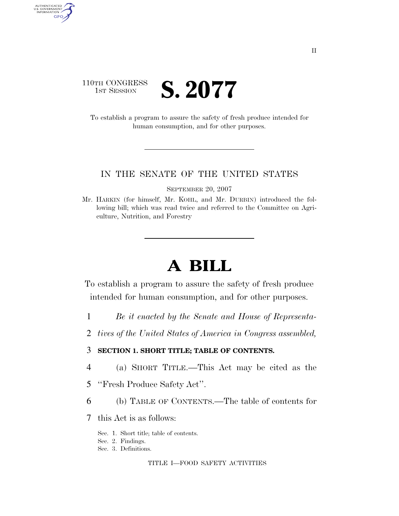#### 110TH CONGRESS **IST SESSION S. 2077**

AUTHENTICATED<br>U.S. GOVERNMENT<br>INFORMATION GPO

> To establish a program to assure the safety of fresh produce intended for human consumption, and for other purposes.

#### IN THE SENATE OF THE UNITED STATES

SEPTEMBER 20, 2007

Mr. HARKIN (for himself, Mr. KOHL, and Mr. DURBIN) introduced the following bill; which was read twice and referred to the Committee on Agriculture, Nutrition, and Forestry

# **A BILL**

To establish a program to assure the safety of fresh produce intended for human consumption, and for other purposes.

- 1 *Be it enacted by the Senate and House of Representa-*
- 2 *tives of the United States of America in Congress assembled,*

#### 3 **SECTION 1. SHORT TITLE; TABLE OF CONTENTS.**

- 4 (a) SHORT TITLE.—This Act may be cited as the
- 5 ''Fresh Produce Safety Act''.
- 6 (b) TABLE OF CONTENTS.—The table of contents for
- 7 this Act is as follows:
	- Sec. 1. Short title; table of contents.
	- Sec. 2. Findings.
	- Sec. 3. Definitions.

#### TITLE I—FOOD SAFETY ACTIVITIES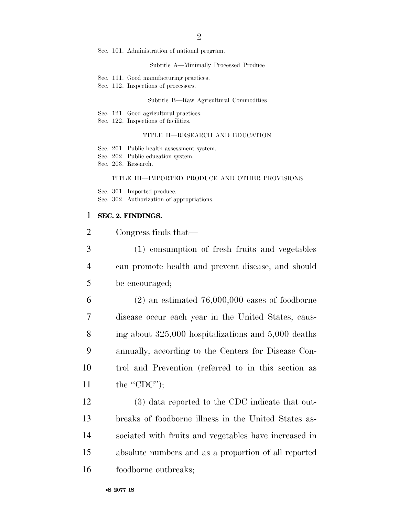Sec. 101. Administration of national program.

#### Subtitle A—Minimally Processed Produce

- Sec. 111. Good manufacturing practices.
- Sec. 112. Inspections of processors.

#### Subtitle B—Raw Agricultural Commodities

- Sec. 121. Good agricultural practices.
- Sec. 122. Inspections of facilities.

#### TITLE II—RESEARCH AND EDUCATION

- Sec. 201. Public health assessment system.
- Sec. 202. Public education system.
- Sec. 203. Research.

#### TITLE III—IMPORTED PRODUCE AND OTHER PROVISIONS

Sec. 301. Imported produce. Sec. 302. Authorization of appropriations.

#### 1 **SEC. 2. FINDINGS.**

| $\overline{2}$ | Congress finds that—                                    |
|----------------|---------------------------------------------------------|
| 3              | (1) consumption of fresh fruits and vegetables          |
| $\overline{4}$ | can promote health and prevent disease, and should      |
| 5              | be encouraged;                                          |
| 6              | $(2)$ an estimated 76,000,000 cases of foodborne        |
| 7              | disease occur each year in the United States, caus-     |
| 8              | ing about $325,000$ hospitalizations and $5,000$ deaths |
| 9              | annually, according to the Centers for Disease Con-     |
| 10             | trol and Prevention (referred to in this section as     |
| 11             | the "CDC");                                             |
| 12             | (3) data reported to the CDC indicate that out-         |
| 13             | breaks of foodborne illness in the United States as-    |
| 14             | sociated with fruits and vegetables have increased in   |
| 15             | absolute numbers and as a proportion of all reported    |
| 16             | foodborne outbreaks;                                    |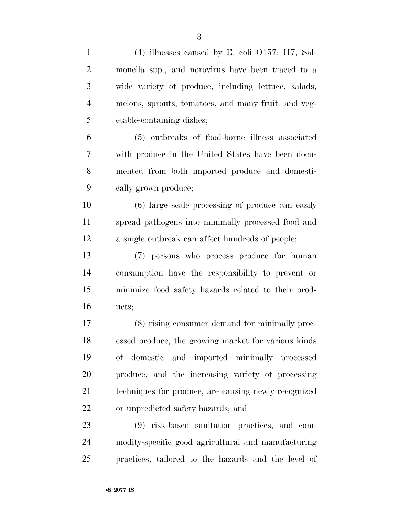| $\mathbf{1}$   | $(4)$ illnesses caused by E. coli O157: H7, Sal-     |
|----------------|------------------------------------------------------|
| $\overline{2}$ | monella spp., and norovirus have been traced to a    |
| 3              | wide variety of produce, including lettuce, salads,  |
| $\overline{4}$ | melons, sprouts, tomatoes, and many fruit- and veg-  |
| 5              | etable-containing dishes;                            |
| 6              | (5) outbreaks of food-borne illness associated       |
| 7              | with produce in the United States have been docu-    |
| 8              | mented from both imported produce and domesti-       |
| 9              | cally grown produce;                                 |
| 10             | (6) large scale processing of produce can easily     |
| 11             | spread pathogens into minimally processed food and   |
| 12             | a single outbreak can affect hundreds of people;     |
| 13             | (7) persons who process produce for human            |
| 14             | consumption have the responsibility to prevent or    |
| 15             | minimize food safety hazards related to their prod-  |
| 16             | ucts;                                                |
| 17             | (8) rising consumer demand for minimally proc-       |
| 18             | essed produce, the growing market for various kinds  |
| 19             | of domestic and imported minimally processed         |
| 20             | produce, and the increasing variety of processing    |
| 21             | techniques for produce, are causing newly recognized |
| 22             | or unpredicted safety hazards; and                   |
| 23             | (9) risk-based sanitation practices, and com-        |
| 24             | modity-specific good agricultural and manufacturing  |
| 25             | practices, tailored to the hazards and the level of  |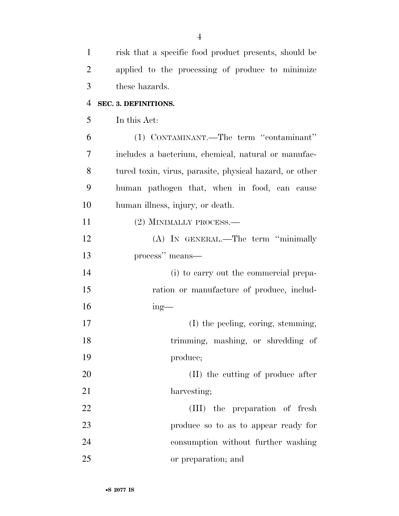| $\mathbf{1}$   | risk that a specific food product presents, should be   |
|----------------|---------------------------------------------------------|
| $\overline{2}$ | applied to the processing of produce to minimize        |
| 3              | these hazards.                                          |
| 4              | SEC. 3. DEFINITIONS.                                    |
| 5              | In this Act:                                            |
| 6              | (1) CONTAMINANT.—The term "contaminant"                 |
| 7              | includes a bacterium, chemical, natural or manufac-     |
| 8              | tured toxin, virus, parasite, physical hazard, or other |
| 9              | human pathogen that, when in food, can cause            |
| 10             | human illness, injury, or death.                        |
| 11             | (2) MINIMALLY PROCESS.—                                 |
| 12             | (A) IN GENERAL.—The term "minimally                     |
| 13             | process" means—                                         |
| 14             | (i) to carry out the commercial prepa-                  |
| 15             | ration or manufacture of produce, includ-               |
| 16             | $ing$ —                                                 |
| 17             | (I) the peeling, coring, stemming,                      |
| 18             | trimming, mashing, or shredding of                      |
| 19             | produce;                                                |
| 20             | (II) the cutting of produce after                       |
| 21             | harvesting;                                             |
| 22             | (III) the preparation of fresh                          |
| 23             | produce so to as to appear ready for                    |
| 24             | consumption without further washing                     |
| 25             | or preparation; and                                     |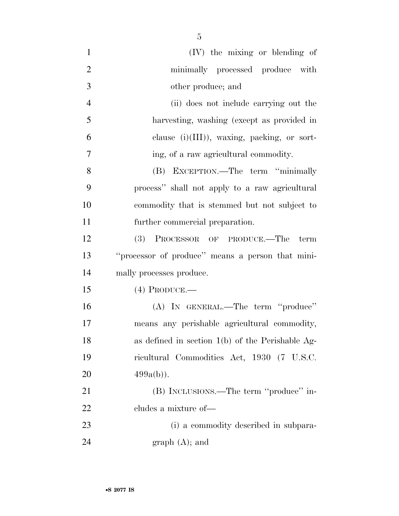(IV) the mixing or blending of minimally processed produce with other produce; and (ii) does not include carrying out the harvesting, washing (except as provided in clause (i)(III)), waxing, packing, or sort- ing, of a raw agricultural commodity. (B) EXCEPTION.—The term ''minimally process'' shall not apply to a raw agricultural commodity that is stemmed but not subject to further commercial preparation. (3) PROCESSOR OF PRODUCE.—The term ''processor of produce'' means a person that mini- mally processes produce. (4) PRODUCE.— (A) IN GENERAL.—The term ''produce'' means any perishable agricultural commodity, as defined in section 1(b) of the Perishable Ag- ricultural Commodities Act, 1930 (7 U.S.C. 20  $499a(b)$ . (B) INCLUSIONS.—The term ''produce'' in-cludes a mixture of—

 (i) a commodity described in subpara-24 graph (A); and

•**S 2077 IS**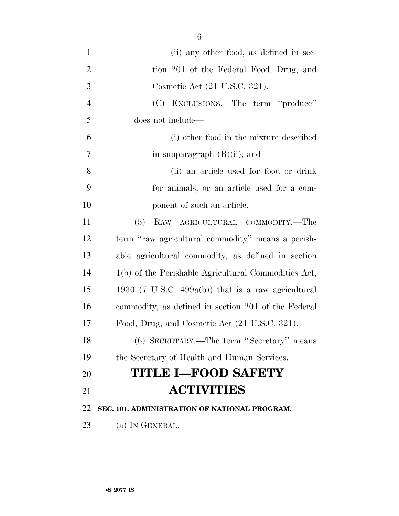- 1 (ii) any other food, as defined in sec-2 tion 201 of the Federal Food, Drug, and Cosmetic Act (21 U.S.C. 321). (C) EXCLUSIONS.—The term ''produce'' does not include— (i) other food in the mixture described 7 in subparagraph (B)(ii); and (ii) an article used for food or drink for animals, or an article used for a com-10 ponent of such an article. (5) RAW AGRICULTURAL COMMODITY.—The term ''raw agricultural commodity'' means a perish- able agricultural commodity, as defined in section 1(b) of the Perishable Agricultural Commodities Act, 1930 (7 U.S.C. 499a(b)) that is a raw agricultural commodity, as defined in section 201 of the Federal Food, Drug, and Cosmetic Act (21 U.S.C. 321). (6) SECRETARY.—The term ''Secretary'' means the Secretary of Health and Human Services. **TITLE I—FOOD SAFETY ACTIVITIES SEC. 101. ADMINISTRATION OF NATIONAL PROGRAM.**
- 23 (a) IN GENERAL.—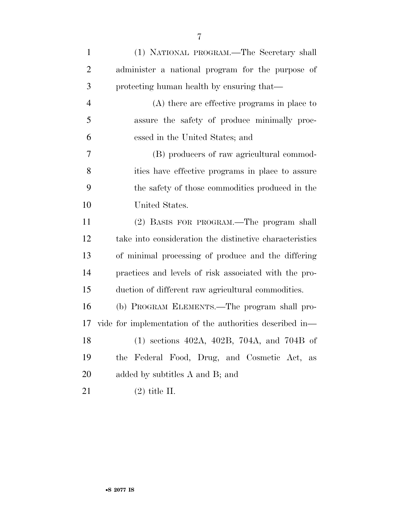| $\mathbf{1}$   | (1) NATIONAL PROGRAM.—The Secretary shall                |
|----------------|----------------------------------------------------------|
| $\overline{2}$ | administer a national program for the purpose of         |
| 3              | protecting human health by ensuring that—                |
| $\overline{4}$ | $(A)$ there are effective programs in place to           |
| 5              | assure the safety of produce minimally proc-             |
| 6              | essed in the United States; and                          |
| 7              | (B) producers of raw agricultural commod-                |
| 8              | ities have effective programs in place to assure         |
| 9              | the safety of those commodities produced in the          |
| 10             | United States.                                           |
| 11             | (2) BASIS FOR PROGRAM.—The program shall                 |
| 12             | take into consideration the distinctive characteristics  |
| 13             | of minimal processing of produce and the differing       |
| 14             | practices and levels of risk associated with the pro-    |
| 15             | duction of different raw agricultural commodities.       |
| 16             | (b) PROGRAM ELEMENTS.—The program shall pro-             |
| 17             | vide for implementation of the authorities described in— |
| 18             | $(1)$ sections 402A, 402B, 704A, and 704B of             |
| 19             | the Federal Food, Drug, and Cosmetic Act,<br>as          |
| 20             | added by subtitles A and B; and                          |
| 21             | $(2)$ title II.                                          |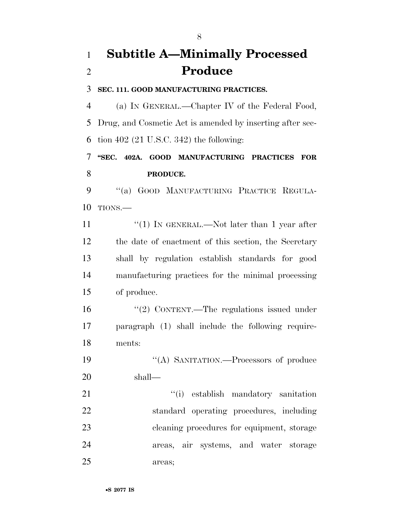## **Subtitle A—Minimally Processed Produce**

#### **SEC. 111. GOOD MANUFACTURING PRACTICES.**

 (a) IN GENERAL.—Chapter IV of the Federal Food, Drug, and Cosmetic Act is amended by inserting after sec-tion 402 (21 U.S.C. 342) the following:

### **''SEC. 402A. GOOD MANUFACTURING PRACTICES FOR PRODUCE.**

 ''(a) GOOD MANUFACTURING PRACTICE REGULA-TIONS.—

 $\frac{u(1)}{N}$  IN GENERAL.—Not later than 1 year after the date of enactment of this section, the Secretary shall by regulation establish standards for good manufacturing practices for the minimal processing of produce.

16 "(2) CONTENT.—The regulations issued under paragraph (1) shall include the following require-ments:

19 "(A) SANITATION.—Processors of produce shall—

21 ''(i) establish mandatory sanitation standard operating procedures, including cleaning procedures for equipment, storage areas, air systems, and water storage areas;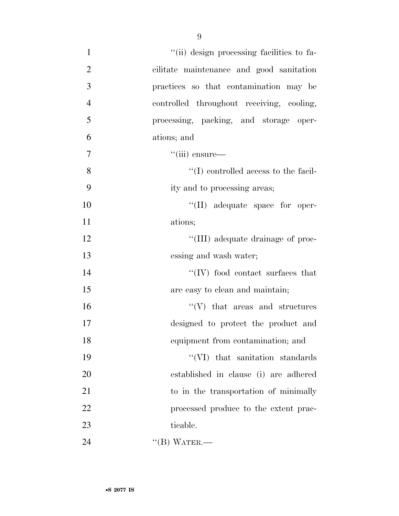| $\mathbf{1}$   | "(ii) design processing facilities to fa-           |
|----------------|-----------------------------------------------------|
| $\overline{2}$ | cilitate maintenance and good sanitation            |
| 3              | practices so that contamination may be              |
| $\overline{4}$ | controlled throughout receiving, cooling,           |
| 5              | processing, packing, and storage oper-              |
| 6              | ations; and                                         |
| $\tau$         | $``(iii)$ ensure—                                   |
| 8              | $\lq\lq$ (I) controlled access to the facil-        |
| 9              | ity and to processing areas;                        |
| 10             | $\lq\lq$ (II) adequate space for oper-              |
| 11             | ations;                                             |
| 12             | "(III) adequate drainage of proc-                   |
| 13             | essing and wash water;                              |
| 14             | $\lq\lq ( \text{IV}) \,$ food contact surfaces that |
| 15             | are easy to clean and maintain;                     |
| 16             | $\lq\lq(V)$ that areas and structures               |
| 17             | designed to protect the product and                 |
| 18             | equipment from contamination; and                   |
| 19             | "(VI) that sanitation standards                     |
| 20             | established in clause (i) are adhered               |
| 21             | to in the transportation of minimally               |
| 22             | processed produce to the extent prac-               |
| 23             | ticable.                                            |
| 24             | $\lq\lq (B)$ WATER.—                                |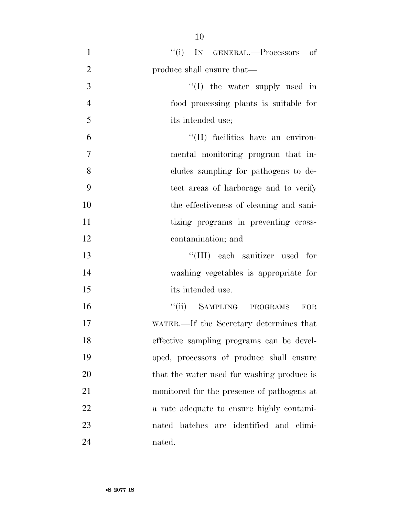| $\mathbf{1}$   | "(i) IN GENERAL.—Processors of             |
|----------------|--------------------------------------------|
| $\overline{2}$ | produce shall ensure that—                 |
| 3              | "(I) the water supply used in              |
| $\overline{4}$ | food processing plants is suitable for     |
| 5              | its intended use;                          |
| 6              | "(II) facilities have an environ-          |
| $\overline{7}$ | mental monitoring program that in-         |
| 8              | cludes sampling for pathogens to de-       |
| 9              | tect areas of harborage and to verify      |
| 10             | the effectiveness of cleaning and sani-    |
| 11             | tizing programs in preventing cross-       |
| 12             | contamination; and                         |
| 13             | "(III) each sanitizer used for             |
| 14             | washing vegetables is appropriate for      |
| 15             | its intended use.                          |
| 16             | "(ii) SAMPLING PROGRAMS<br><b>FOR</b>      |
| 17             | WATER.—If the Secretary determines that    |
| 18             | effective sampling programs can be devel-  |
| 19             | oped, processors of produce shall ensure   |
| 20             | that the water used for washing produce is |
| 21             | monitored for the presence of pathogens at |
| 22             | a rate adequate to ensure highly contami-  |
| 23             | nated batches are identified and elimi-    |
| 24             | nated.                                     |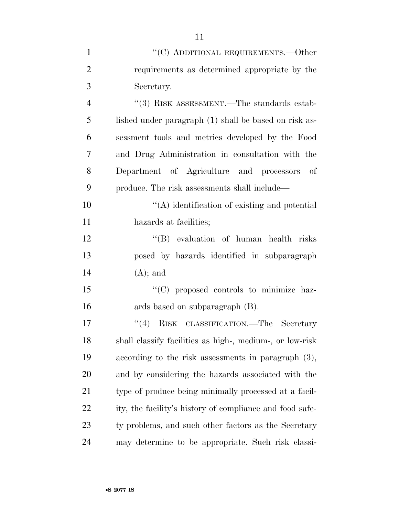| $\mathbf{1}$   | "(C) ADDITIONAL REQUIREMENTS.—Other                      |
|----------------|----------------------------------------------------------|
| $\overline{2}$ | requirements as determined appropriate by the            |
| 3              | Secretary.                                               |
| $\overline{4}$ | $\cdot\cdot$ (3) RISK ASSESSMENT.—The standards estab-   |
| 5              | lished under paragraph (1) shall be based on risk as-    |
| 6              | sessment tools and metrics developed by the Food         |
| 7              | and Drug Administration in consultation with the         |
| 8              | Department of Agriculture and processors of              |
| 9              | produce. The risk assessments shall include—             |
| 10             | $\lq\lq$ identification of existing and potential        |
| 11             | hazards at facilities;                                   |
| 12             | "(B) evaluation of human health risks                    |
| 13             | posed by hazards identified in subparagraph              |
| 14             | $(A)$ ; and                                              |
| 15             | "(C) proposed controls to minimize haz-                  |
| 16             | ards based on subparagraph (B).                          |
| 17             | RISK CLASSIFICATION.—The Secretary<br>(4)                |
| 18             | shall classify facilities as high-, medium-, or low-risk |
| 19             | according to the risk assessments in paragraph $(3)$ ,   |
| 20             | and by considering the hazards associated with the       |
| 21             | type of produce being minimally processed at a facil-    |
| 22             | ity, the facility's history of compliance and food safe- |
| 23             | ty problems, and such other factors as the Secretary     |
| 24             | may determine to be appropriate. Such risk classi-       |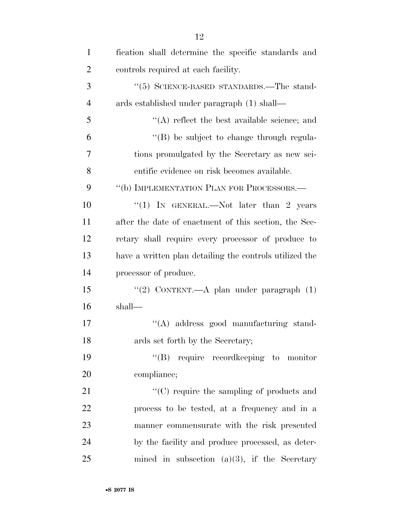| $\mathbf{1}$   | fication shall determine the specific standards and     |
|----------------|---------------------------------------------------------|
| $\overline{2}$ | controls required at each facility.                     |
| 3              | $\cdot\cdot$ (5) SCIENCE-BASED STANDARDS.—The stand-    |
| $\overline{4}$ | ards established under paragraph (1) shall—             |
| 5              | $\lq\lq$ reflect the best available science; and        |
| 6              | "(B) be subject to change through regula-               |
| 7              | tions promulgated by the Secretary as new sci-          |
| 8              | entific evidence on risk becomes available.             |
| 9              | "(b) IMPLEMENTATION PLAN FOR PROCESSORS.—               |
| 10             | "(1) IN GENERAL.—Not later than 2 years                 |
| 11             | after the date of enactment of this section, the Sec-   |
| 12             | retary shall require every processor of produce to      |
| 13             | have a written plan detailing the controls utilized the |
| 14             | processor of produce.                                   |
| 15             | "(2) CONTENT.—A plan under paragraph (1)                |
| 16             | shall—                                                  |
| 17             | "(A) address good manufacturing stand-                  |
| 18             | ards set forth by the Secretary;                        |
| 19             | "(B) require record keeping to monitor                  |
| 20             | compliance;                                             |
| 21             | $\lq\lq$ require the sampling of products and           |
| 22             | process to be tested, at a frequency and in a           |
| 23             | manner commensurate with the risk presented             |
| 24             | by the facility and produce processed, as deter-        |
| 25             | mined in subsection (a)(3), if the Secretary            |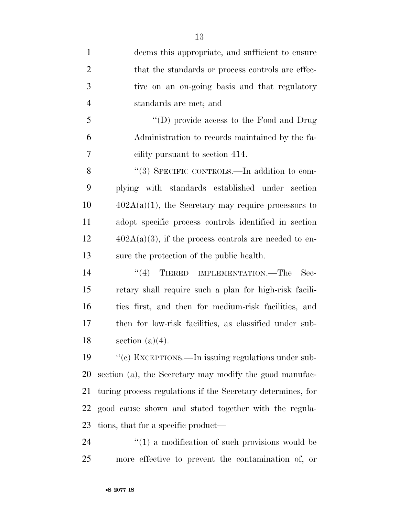| $\mathbf{1}$   | deems this appropriate, and sufficient to ensure            |
|----------------|-------------------------------------------------------------|
| $\overline{2}$ | that the standards or process controls are effec-           |
| 3              | tive on an on-going basis and that regulatory               |
| $\overline{4}$ | standards are met; and                                      |
| 5              | "(D) provide access to the Food and Drug                    |
| 6              | Administration to records maintained by the fa-             |
| $\overline{7}$ | cility pursuant to section 414.                             |
| 8              | "(3) SPECIFIC CONTROLS.—In addition to com-                 |
| 9              | plying with standards established under section             |
| 10             | $402A(a)(1)$ , the Secretary may require processors to      |
| 11             | adopt specific process controls identified in section       |
| 12             | $402A(a)(3)$ , if the process controls are needed to en-    |
| 13             | sure the protection of the public health.                   |
| 14             | (4)<br>TIERED IMPLEMENTATION.—The<br>$\rm Sec-$             |
| 15             | retary shall require such a plan for high-risk facili-      |
| 16             | ties first, and then for medium-risk facilities, and        |
| 17             | then for low-risk facilities, as classified under sub-      |
| 18             | section $(a)(4)$ .                                          |
| 19             | "(c) EXCEPTIONS.—In issuing regulations under sub-          |
| 20             | section (a), the Secretary may modify the good manufac-     |
| 21             | turing process regulations if the Secretary determines, for |
| 22             | good cause shown and stated together with the regula-       |
| 23             | tions, that for a specific product—                         |
| 24             | $\cdot\cdot(1)$ a modification of such provisions would be  |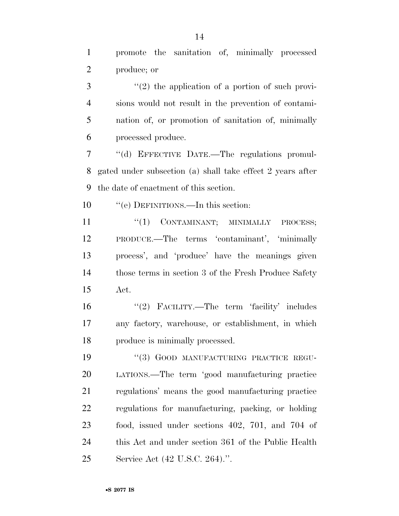promote the sanitation of, minimally processed produce; or

 ''(2) the application of a portion of such provi- sions would not result in the prevention of contami- nation of, or promotion of sanitation of, minimally processed produce.

 ''(d) EFFECTIVE DATE.—The regulations promul- gated under subsection (a) shall take effect 2 years after the date of enactment of this section.

''(e) DEFINITIONS.—In this section:

 $\frac{1}{1}$  CONTAMINANT; MINIMALLY PROCESS; PRODUCE.—The terms 'contaminant', 'minimally process', and 'produce' have the meanings given those terms in section 3 of the Fresh Produce Safety Act.

16 "(2) FACILITY.—The term 'facility' includes any factory, warehouse, or establishment, in which produce is minimally processed.

19 "(3) GOOD MANUFACTURING PRACTICE REGU- LATIONS.—The term 'good manufacturing practice regulations' means the good manufacturing practice regulations for manufacturing, packing, or holding food, issued under sections 402, 701, and 704 of this Act and under section 361 of the Public Health Service Act (42 U.S.C. 264).''.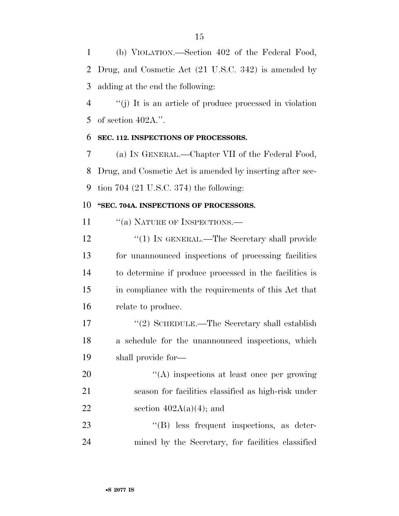(b) VIOLATION.—Section 402 of the Federal Food, Drug, and Cosmetic Act (21 U.S.C. 342) is amended by adding at the end the following:

 ''(j) It is an article of produce processed in violation of section 402A.''.

#### **SEC. 112. INSPECTIONS OF PROCESSORS.**

 (a) IN GENERAL.—Chapter VII of the Federal Food, Drug, and Cosmetic Act is amended by inserting after sec-tion 704 (21 U.S.C. 374) the following:

#### **''SEC. 704A. INSPECTIONS OF PROCESSORS.**

11 "(a) NATURE OF INSPECTIONS.—

12 "(1) IN GENERAL.—The Secretary shall provide for unannounced inspections of processing facilities to determine if produce processed in the facilities is in compliance with the requirements of this Act that relate to produce.

17 "(2) SCHEDULE.—The Secretary shall establish a schedule for the unannounced inspections, which shall provide for—

20  $\langle (A) \rangle$  inspections at least once per growing season for facilities classified as high-risk under 22 section  $402A(a)(4)$ ; and

23 ''(B) less frequent inspections, as deter-mined by the Secretary, for facilities classified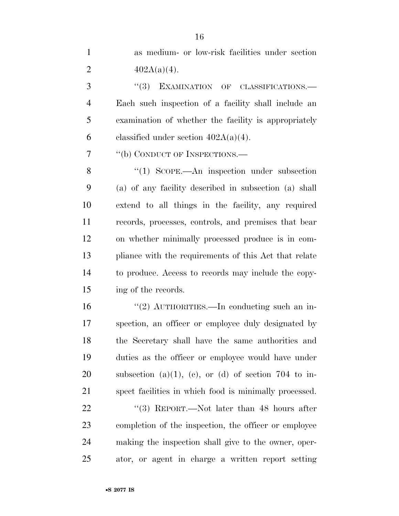as medium- or low-risk facilities under section 2  $402A(a)(4)$ .

3 "(3) EXAMINATION OF CLASSIFICATIONS.— Each such inspection of a facility shall include an examination of whether the facility is appropriately 6 classified under section  $402A(a)(4)$ .

7 "(b) CONDUCT OF INSPECTIONS.—

8 "(1) SCOPE.—An inspection under subsection (a) of any facility described in subsection (a) shall extend to all things in the facility, any required records, processes, controls, and premises that bear on whether minimally processed produce is in com- pliance with the requirements of this Act that relate to produce. Access to records may include the copy-ing of the records.

 ''(2) AUTHORITIES.—In conducting such an in- spection, an officer or employee duly designated by the Secretary shall have the same authorities and duties as the officer or employee would have under 20 subsection (a)(1), (c), or (d) of section 704 to in-spect facilities in which food is minimally processed.

22 "(3) REPORT.—Not later than 48 hours after completion of the inspection, the officer or employee making the inspection shall give to the owner, oper-ator, or agent in charge a written report setting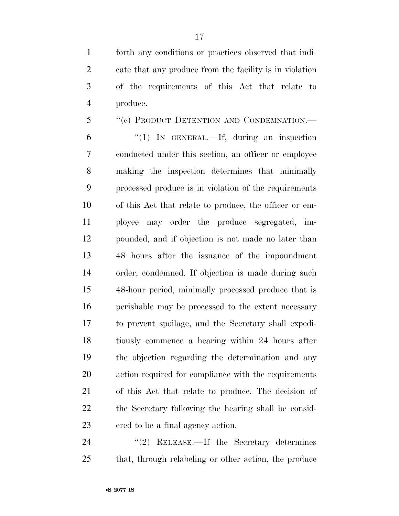forth any conditions or practices observed that indi- cate that any produce from the facility is in violation of the requirements of this Act that relate to produce.

 ''(c) PRODUCT DETENTION AND CONDEMNATION.— ''(1) IN GENERAL.—If, during an inspection conducted under this section, an officer or employee making the inspection determines that minimally processed produce is in violation of the requirements of this Act that relate to produce, the officer or em- ployee may order the produce segregated, im- pounded, and if objection is not made no later than 48 hours after the issuance of the impoundment order, condemned. If objection is made during such 48-hour period, minimally processed produce that is perishable may be processed to the extent necessary to prevent spoilage, and the Secretary shall expedi- tiously commence a hearing within 24 hours after the objection regarding the determination and any action required for compliance with the requirements of this Act that relate to produce. The decision of the Secretary following the hearing shall be consid-ered to be a final agency action.

24 "(2) RELEASE.—If the Secretary determines that, through relabeling or other action, the produce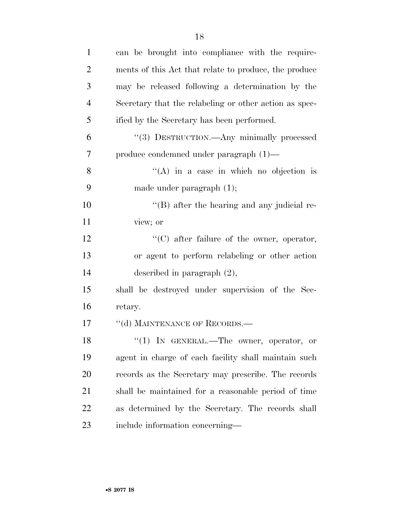| $\mathbf{1}$   | can be brought into compliance with the require-       |
|----------------|--------------------------------------------------------|
| $\overline{2}$ | ments of this Act that relate to produce, the produce  |
| 3              | may be released following a determination by the       |
| $\overline{4}$ | Secretary that the relabeling or other action as spec- |
| 5              | ified by the Secretary has been performed.             |
| 6              | "(3) DESTRUCTION.—Any minimally processed              |
| 7              | produce condemned under paragraph (1)—                 |
| 8              | "(A) in a case in which no objection is                |
| 9              | made under paragraph $(1)$ ;                           |
| 10             | $\lq\lq$ (B) after the hearing and any judicial re-    |
| 11             | view; or                                               |
| 12             | $\lq\lq$ (C) after failure of the owner, operator,     |
| 13             | or agent to perform relabeling or other action         |
| 14             | described in paragraph $(2)$ ,                         |
| 15             | shall be destroyed under supervision of the Sec-       |
| 16             | retary.                                                |
| 17             | "(d) MAINTENANCE OF RECORDS.-                          |
| 18             | " $(1)$ IN GENERAL.—The owner, operator, or            |
| 19             | agent in charge of each facility shall maintain such   |
| 20             | records as the Secretary may prescribe. The records    |
| 21             | shall be maintained for a reasonable period of time    |
| 22             | as determined by the Secretary. The records shall      |
| 23             | include information concerning—                        |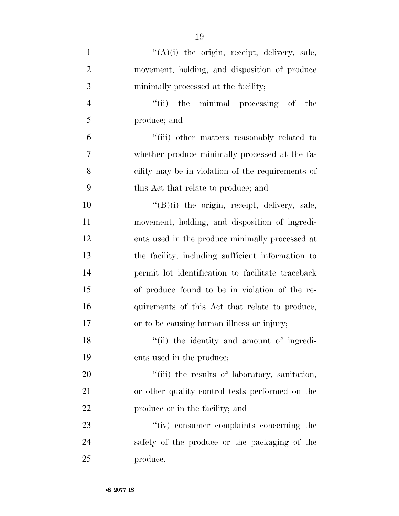| $\mathbf{1}$   | $\lq\lq$ (A)(i) the origin, receipt, delivery, sale, |
|----------------|------------------------------------------------------|
| $\overline{2}$ | movement, holding, and disposition of produce        |
| 3              | minimally processed at the facility;                 |
| $\overline{4}$ | "(ii) the minimal processing of the                  |
| 5              | produce; and                                         |
| 6              | "(iii) other matters reasonably related to           |
| 7              | whether produce minimally processed at the fa-       |
| 8              | cility may be in violation of the requirements of    |
| 9              | this Act that relate to produce; and                 |
| 10             | $\lq\lq(B)(i)$ the origin, receipt, delivery, sale,  |
| 11             | movement, holding, and disposition of ingredi-       |
| 12             | ents used in the produce minimally processed at      |
| 13             | the facility, including sufficient information to    |
| 14             | permit lot identification to facilitate traceback    |
| 15             | of produce found to be in violation of the re-       |
| 16             | quirements of this Act that relate to produce,       |
| 17             | or to be causing human illness or injury;            |
| 18             | "(ii) the identity and amount of ingredi-            |
| 19             | ents used in the produce;                            |
| 20             | "(iii) the results of laboratory, sanitation,        |
| 21             | or other quality control tests performed on the      |
| 22             | produce or in the facility; and                      |
| 23             | "(iv) consumer complaints concerning the             |
| 24             | safety of the produce or the packaging of the        |
| 25             | produce.                                             |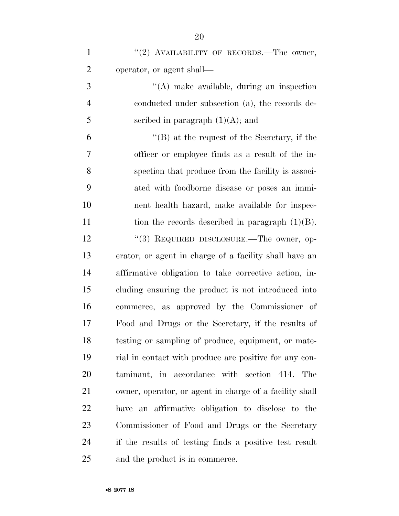| $\mathbf{1}$   | "(2) AVAILABILITY OF RECORDS.—The owner,                |
|----------------|---------------------------------------------------------|
| $\overline{2}$ | operator, or agent shall—                               |
| 3              | $\lq\lq$ make available, during an inspection           |
| $\overline{4}$ | conducted under subsection (a), the records de-         |
| 5              | scribed in paragraph $(1)(A)$ ; and                     |
| 6              | $\lq\lq (B)$ at the request of the Secretary, if the    |
| 7              | officer or employee finds as a result of the in-        |
| 8              | spection that produce from the facility is associ-      |
| 9              | ated with foodborne disease or poses an immi-           |
| 10             | nent health hazard, make available for inspec-          |
| 11             | tion the records described in paragraph $(1)(B)$ .      |
| 12             | "(3) REQUIRED DISCLOSURE.—The owner, op-                |
| 13             | erator, or agent in charge of a facility shall have an  |
| 14             | affirmative obligation to take corrective action, in-   |
| 15             | cluding ensuring the product is not introduced into     |
| 16             | commerce, as approved by the Commissioner of            |
| 17             | Food and Drugs or the Secretary, if the results of      |
| 18             | testing or sampling of produce, equipment, or mate-     |
| 19             | rial in contact with produce are positive for any con-  |
| 20             | taminant, in accordance with section 414. The           |
| 21             | owner, operator, or agent in charge of a facility shall |
| 22             | have an affirmative obligation to disclose to the       |
| 23             | Commissioner of Food and Drugs or the Secretary         |
| 24             | if the results of testing finds a positive test result  |
| 25             | and the product is in commerce.                         |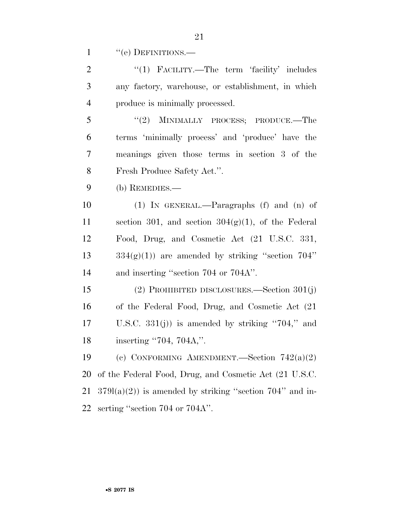1 "(e) DEFINITIONS.—

| $\overline{2}$ | "(1) FACILITY.—The term 'facility' includes               |
|----------------|-----------------------------------------------------------|
| 3              | any factory, warehouse, or establishment, in which        |
| $\overline{4}$ | produce is minimally processed.                           |
| 5              | (2)<br>MINIMALLY PROCESS; PRODUCE.—The                    |
| 6              | terms 'minimally process' and 'produce' have the          |
| $\overline{7}$ | meanings given those terms in section 3 of the            |
| 8              | Fresh Produce Safety Act.".                               |
| 9              | $(b)$ REMEDIES.—                                          |
| 10             | $(1)$ IN GENERAL.—Paragraphs $(f)$ and $(n)$ of           |
| 11             | section 301, and section $304(g)(1)$ , of the Federal     |
| 12             | Food, Drug, and Cosmetic Act (21 U.S.C. 331,              |
| 13             | $334(g)(1)$ are amended by striking "section 704"         |
| 14             | and inserting "section 704 or 704A".                      |
| 15             | (2) PROHIBITED DISCLOSURES.—Section $301(j)$              |
| 16             | of the Federal Food, Drug, and Cosmetic Act (21)          |
| 17             | U.S.C. $331(j)$ is amended by striking "704," and         |
| 18             | inserting "704, 704A,".                                   |
| 19             | (c) CONFORMING AMENDMENT. Section $742(a)(2)$             |
| 20             | of the Federal Food, Drug, and Cosmetic Act (21 U.S.C.    |
| 21             | $3791(a)(2)$ is amended by striking "section 704" and in- |

serting ''section 704 or 704A''.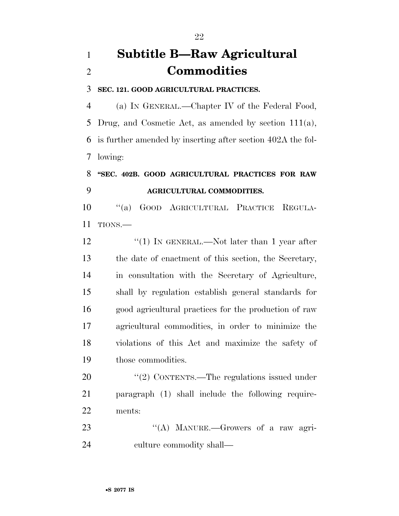## **Subtitle B—Raw Agricultural Commodities**

#### **SEC. 121. GOOD AGRICULTURAL PRACTICES.**

 (a) IN GENERAL.—Chapter IV of the Federal Food, Drug, and Cosmetic Act, as amended by section 111(a), is further amended by inserting after section 402A the fol-lowing:

### **''SEC. 402B. GOOD AGRICULTURAL PRACTICES FOR RAW AGRICULTURAL COMMODITIES.**

 ''(a) GOOD AGRICULTURAL PRACTICE REGULA-TIONS.—

12 "(1) IN GENERAL.—Not later than 1 year after the date of enactment of this section, the Secretary, in consultation with the Secretary of Agriculture, shall by regulation establish general standards for good agricultural practices for the production of raw agricultural commodities, in order to minimize the violations of this Act and maximize the safety of those commodities.

20  $\frac{1}{20}$  CONTENTS.—The regulations issued under paragraph (1) shall include the following require-ments:

23 "(A) MANURE.—Growers of a raw agri-culture commodity shall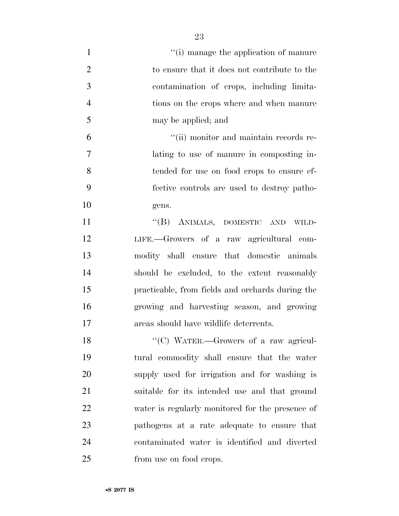| $\mathbf{1}$   | "(i) manage the application of manure            |
|----------------|--------------------------------------------------|
| $\overline{2}$ | to ensure that it does not contribute to the     |
| 3              | contamination of crops, including limita-        |
| $\overline{4}$ | tions on the crops where and when manure         |
| 5              | may be applied; and                              |
| 6              | "(ii) monitor and maintain records re-           |
| $\overline{7}$ | lating to use of manure in composting in-        |
| 8              | tended for use on food crops to ensure ef-       |
| 9              | fective controls are used to destroy patho-      |
| 10             | gens.                                            |
| 11             | "(B) ANIMALS, DOMESTIC AND WILD-                 |
| 12             | LIFE.—Growers of a raw agricultural com-         |
| 13             | modity shall ensure that domestic animals        |
| 14             | should be excluded, to the extent reasonably     |
| 15             | practicable, from fields and orchards during the |
| 16             | growing and harvesting season, and growing       |
| 17             | areas should have wildlife deterrents.           |
| 18             | "(C) WATER.—Growers of a raw agricul-            |
| 19             | tural commodity shall ensure that the water      |
| 20             | supply used for irrigation and for washing is    |
| 21             | suitable for its intended use and that ground    |
| 22             | water is regularly monitored for the presence of |
| 23             | pathogens at a rate adequate to ensure that      |
| 24             | contaminated water is identified and diverted    |
| 25             | from use on food crops.                          |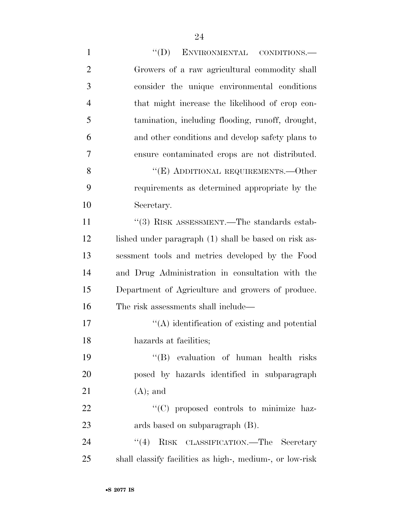1 "'(D) ENVIRONMENTAL CONDITIONS.— Growers of a raw agricultural commodity shall consider the unique environmental conditions that might increase the likelihood of crop con- tamination, including flooding, runoff, drought, and other conditions and develop safety plans to ensure contaminated crops are not distributed. 8 "(E) ADDITIONAL REQUIREMENTS.—Other requirements as determined appropriate by the Secretary. 11 ''(3) RISK ASSESSMENT.—The standards estab-12 lished under paragraph (1) shall be based on risk as- sessment tools and metrics developed by the Food and Drug Administration in consultation with the Department of Agriculture and growers of produce. The risk assessments shall include— 17 ''(A) identification of existing and potential hazards at facilities; ''(B) evaluation of human health risks posed by hazards identified in subparagraph 21  $(A)$ ; and  $\cdot$  (C) proposed controls to minimize haz- ards based on subparagraph (B). 24 "(4) RISK CLASSIFICATION.—The Secretary

shall classify facilities as high-, medium-, or low-risk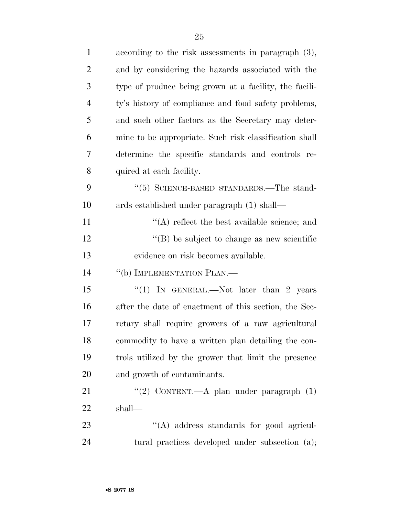| $\mathbf{1}$   | according to the risk assessments in paragraph $(3)$ , |
|----------------|--------------------------------------------------------|
| $\overline{2}$ | and by considering the hazards associated with the     |
| 3              | type of produce being grown at a facility, the facili- |
| $\overline{4}$ | ty's history of compliance and food safety problems,   |
| 5              | and such other factors as the Secretary may deter-     |
| 6              | mine to be appropriate. Such risk classification shall |
| 7              | determine the specific standards and controls re-      |
| 8              | quired at each facility.                               |
| 9              | $\cdot\cdot$ (5) SCIENCE-BASED STANDARDS.—The stand-   |
| 10             | ards established under paragraph (1) shall—            |
| 11             | $\lq\lq$ reflect the best available science; and       |
| 12             | $\lq\lq$ be subject to change as new scientific        |
| 13             | evidence on risk becomes available.                    |
| 14             | "(b) IMPLEMENTATION PLAN.—                             |
| 15             | "(1) IN GENERAL.—Not later than 2 years                |
| 16             | after the date of enactment of this section, the Sec-  |
| 17             | retary shall require growers of a raw agricultural     |
| 18             | commodity to have a written plan detailing the con-    |
| 19             | trols utilized by the grower that limit the presence   |
| 20             | and growth of contaminants.                            |
| 21             | "(2) CONTENT. $-A$ plan under paragraph $(1)$          |
| 22             | shall—                                                 |
| 23             | $\lq\lq$ address standards for good agricul-           |
| 24             | tural practices developed under subsection (a);        |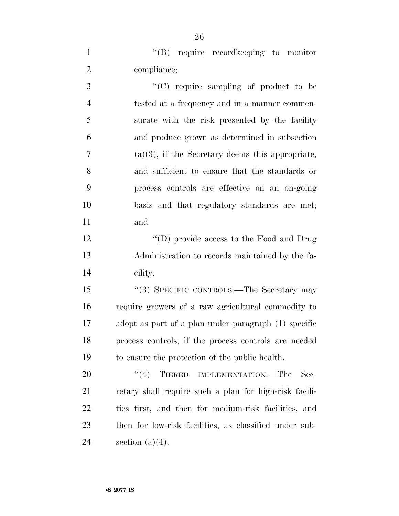''(B) require recordkeeping to monitor compliance;

 ''(C) require sampling of product to be tested at a frequency and in a manner commen- surate with the risk presented by the facility and produce grown as determined in subsection  $7 \t\t (a)(3)$ , if the Secretary deems this appropriate, and sufficient to ensure that the standards or process controls are effective on an on-going basis and that regulatory standards are met; and

12 "(D) provide access to the Food and Drug Administration to records maintained by the fa-cility.

 ''(3) SPECIFIC CONTROLS.—The Secretary may require growers of a raw agricultural commodity to adopt as part of a plan under paragraph (1) specific process controls, if the process controls are needed to ensure the protection of the public health.

20 "(4) TIERED IMPLEMENTATION.—The Sec- retary shall require such a plan for high-risk facili- ties first, and then for medium-risk facilities, and then for low-risk facilities, as classified under sub-24 section  $(a)(4)$ .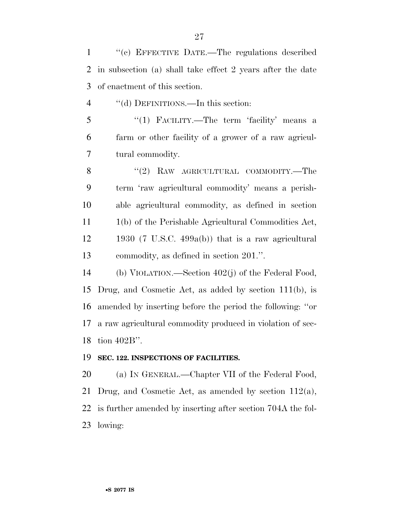| $\mathbf{1}$   | "(c) EFFECTIVE DATE.—The regulations described             |
|----------------|------------------------------------------------------------|
| $\overline{2}$ | in subsection (a) shall take effect 2 years after the date |
| 3              | of enactment of this section.                              |
| $\overline{4}$ | "(d) DEFINITIONS.—In this section:                         |
| 5              | "(1) FACILITY.—The term 'facility' means a                 |
| 6              | farm or other facility of a grower of a raw agricul-       |
| $\tau$         | tural commodity.                                           |
| 8              | "(2) RAW AGRICULTURAL COMMODITY.—The                       |
| 9              | term 'raw agricultural commodity' means a perish-          |
| 10             | able agricultural commodity, as defined in section         |
| 11             | 1(b) of the Perishable Agricultural Commodities Act,       |
| 12             | 1930 (7 U.S.C. 499a(b)) that is a raw agricultural         |
| 13             | commodity, as defined in section 201.".                    |
| 14             | (b) VIOLATION.—Section $402(j)$ of the Federal Food,       |
| 15             | Drug, and Cosmetic Act, as added by section $111(b)$ , is  |
| 16             | amended by inserting before the period the following: "or  |
| 17             | a raw agricultural commodity produced in violation of sec- |

tion 402B''.

#### **SEC. 122. INSPECTIONS OF FACILITIES.**

 (a) IN GENERAL.—Chapter VII of the Federal Food, Drug, and Cosmetic Act, as amended by section 112(a), is further amended by inserting after section 704A the fol-lowing: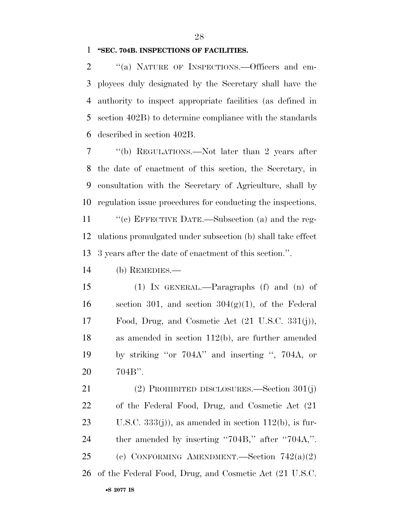#### **''SEC. 704B. INSPECTIONS OF FACILITIES.**

2 "(a) NATURE OF INSPECTIONS.—Officers and em- ployees duly designated by the Secretary shall have the authority to inspect appropriate facilities (as defined in section 402B) to determine compliance with the standards described in section 402B.

 ''(b) REGULATIONS.—Not later than 2 years after the date of enactment of this section, the Secretary, in consultation with the Secretary of Agriculture, shall by regulation issue procedures for conducting the inspections.

11 "'(c) EFFECTIVE DATE.—Subsection (a) and the reg- ulations promulgated under subsection (b) shall take effect 3 years after the date of enactment of this section.''.

(b) REMEDIES.—

 (1) IN GENERAL.—Paragraphs (f) and (n) of 16 section 301, and section  $304(g)(1)$ , of the Federal Food, Drug, and Cosmetic Act (21 U.S.C. 331(j)), as amended in section 112(b), are further amended by striking ''or 704A'' and inserting '', 704A, or 704B''.

 (2) PROHIBITED DISCLOSURES.—Section 301(j) of the Federal Food, Drug, and Cosmetic Act (21 23 U.S.C.  $333(j)$ , as amended in section 112(b), is fur- ther amended by inserting ''704B,'' after ''704A,''. (c) CONFORMING AMENDMENT.—Section 742(a)(2) of the Federal Food, Drug, and Cosmetic Act (21 U.S.C.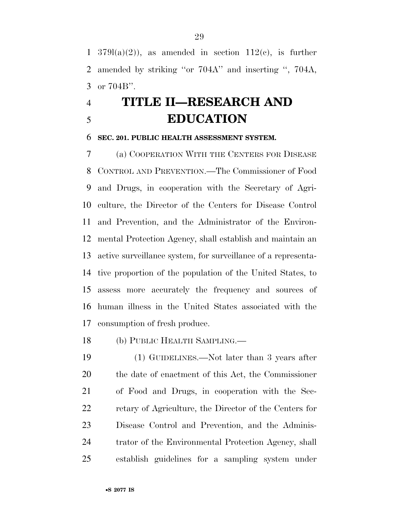1 379 $l(a)(2)$ , as amended in section 112(c), is further amended by striking ''or 704A'' and inserting '', 704A, or 704B''.

## **TITLE II—RESEARCH AND EDUCATION**

#### **SEC. 201. PUBLIC HEALTH ASSESSMENT SYSTEM.**

 (a) COOPERATION WITH THE CENTERS FOR DISEASE CONTROL AND PREVENTION.—The Commissioner of Food and Drugs, in cooperation with the Secretary of Agri- culture, the Director of the Centers for Disease Control and Prevention, and the Administrator of the Environ- mental Protection Agency, shall establish and maintain an active surveillance system, for surveillance of a representa- tive proportion of the population of the United States, to assess more accurately the frequency and sources of human illness in the United States associated with the consumption of fresh produce.

(b) PUBLIC HEALTH SAMPLING.—

 (1) GUIDELINES.—Not later than 3 years after the date of enactment of this Act, the Commissioner of Food and Drugs, in cooperation with the Sec- retary of Agriculture, the Director of the Centers for Disease Control and Prevention, and the Adminis- trator of the Environmental Protection Agency, shall establish guidelines for a sampling system under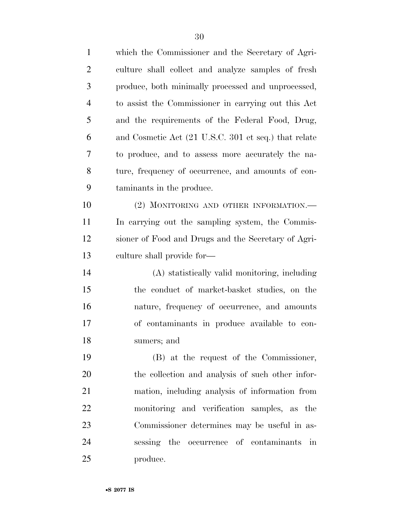| $\mathbf{1}$   | which the Commissioner and the Secretary of Agri-    |
|----------------|------------------------------------------------------|
| $\overline{2}$ | culture shall collect and analyze samples of fresh   |
| 3              | produce, both minimally processed and unprocessed,   |
| $\overline{4}$ | to assist the Commissioner in carrying out this Act  |
| 5              | and the requirements of the Federal Food, Drug,      |
| 6              | and Cosmetic Act (21 U.S.C. 301 et seq.) that relate |
| 7              | to produce, and to assess more accurately the na-    |
| 8              | ture, frequency of occurrence, and amounts of con-   |
| 9              | taminants in the produce.                            |
| 10             | (2) MONITORING AND OTHER INFORMATION.-               |
| 11             | In carrying out the sampling system, the Commis-     |
| 12             | sioner of Food and Drugs and the Secretary of Agri-  |
| 13             | culture shall provide for—                           |
| 14             | (A) statistically valid monitoring, including        |
| 15             | the conduct of market-basket studies, on the         |
| 16             | nature, frequency of occurrence, and amounts         |
| 17             | of contaminants in produce available to con-         |
| 18             | sumers; and                                          |
| 19             | (B) at the request of the Commissioner,              |
| 20             | the collection and analysis of such other infor-     |
| 21             | mation, including analysis of information from       |
| 22             | monitoring and verification samples, as the          |
| 23             | Commissioner determines may be useful in as-         |
| 24             | sessing the occurrence of contaminants in            |

produce.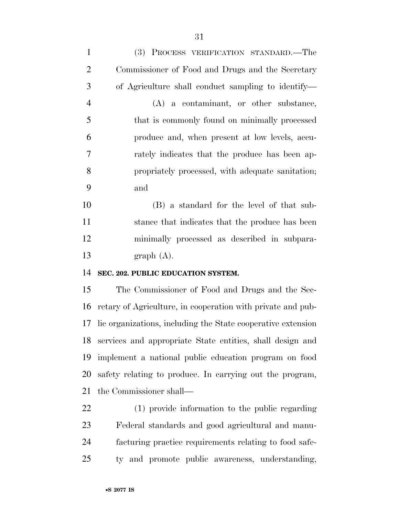| $\mathbf{1}$   | (3) PROCESS VERIFICATION STANDARD.—The             |
|----------------|----------------------------------------------------|
| $\overline{2}$ | Commissioner of Food and Drugs and the Secretary   |
| 3              | of Agriculture shall conduct sampling to identify— |
| $\overline{4}$ | $(A)$ a contaminant, or other substance,           |
| 5              | that is commonly found on minimally processed      |
| 6              | produce and, when present at low levels, accu-     |
| 7              | rately indicates that the produce has been ap-     |
| 8              | propriately processed, with adequate sanitation;   |
| 9              | and                                                |
| 10             | (B) a standard for the level of that sub-          |
| 11             | stance that indicates that the produce has been    |
| 12             | minimally processed as described in subpara-       |
|                |                                                    |

graph (A).

#### **SEC. 202. PUBLIC EDUCATION SYSTEM.**

 The Commissioner of Food and Drugs and the Sec- retary of Agriculture, in cooperation with private and pub- lic organizations, including the State cooperative extension services and appropriate State entities, shall design and implement a national public education program on food safety relating to produce. In carrying out the program, the Commissioner shall—

 (1) provide information to the public regarding Federal standards and good agricultural and manu- facturing practice requirements relating to food safe-ty and promote public awareness, understanding,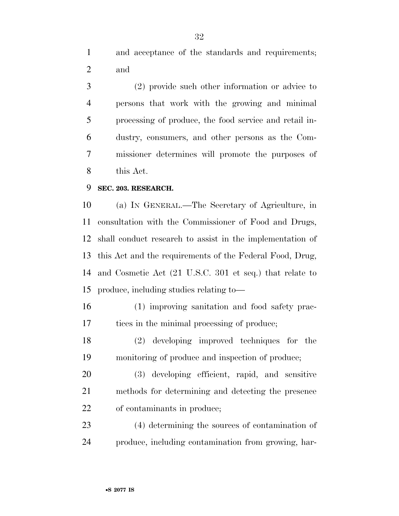and acceptance of the standards and requirements; and

 (2) provide such other information or advice to persons that work with the growing and minimal processing of produce, the food service and retail in- dustry, consumers, and other persons as the Com- missioner determines will promote the purposes of this Act.

#### **SEC. 203. RESEARCH.**

 (a) IN GENERAL.—The Secretary of Agriculture, in consultation with the Commissioner of Food and Drugs, shall conduct research to assist in the implementation of this Act and the requirements of the Federal Food, Drug, and Cosmetic Act (21 U.S.C. 301 et seq.) that relate to produce, including studies relating to—

 (1) improving sanitation and food safety prac-tices in the minimal processing of produce;

 (2) developing improved techniques for the monitoring of produce and inspection of produce;

 (3) developing efficient, rapid, and sensitive methods for determining and detecting the presence of contaminants in produce;

 (4) determining the sources of contamination of produce, including contamination from growing, har-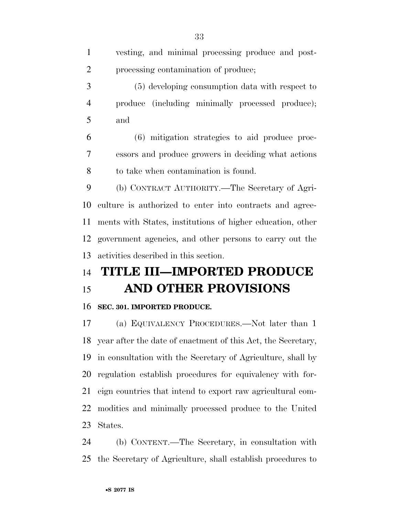| vesting, and minimal processing produce and post-          |
|------------------------------------------------------------|
| processing contamination of produce;                       |
| (5) developing consumption data with respect to            |
| produce (including minimally processed produce);           |
| and                                                        |
| (6) mitigation strategies to aid produce proc-             |
| essors and produce growers in deciding what actions        |
| to take when contamination is found.                       |
| (b) CONTRACT AUTHORITY.—The Secretary of Agri-             |
| culture is authorized to enter into contracts and agree-   |
| ments with States, institutions of higher education, other |
| government agencies, and other persons to carry out the    |
| activities described in this section.                      |
| <b>TITLE III-IMPORTED PRODUCE</b>                          |
| <b>AND OTHER PROVISIONS</b>                                |
| SEC. 301. IMPORTED PRODUCE.                                |
| (a) EQUIVALENCY PROCEDURES.—Not later than 1               |
|                                                            |

 year after the date of enactment of this Act, the Secretary, in consultation with the Secretary of Agriculture, shall by regulation establish procedures for equivalency with for- eign countries that intend to export raw agricultural com- modities and minimally processed produce to the United States.

 (b) CONTENT.—The Secretary, in consultation with the Secretary of Agriculture, shall establish procedures to